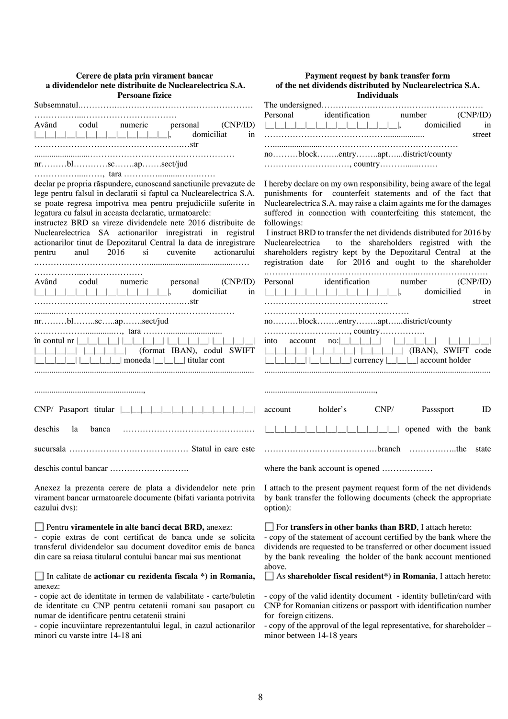| Cerere de plata prin virament bancar<br>a dividendelor nete distribuite de Nuclearelectrica S.A.<br><b>Persoane fizice</b>                                                                                                                                                                                                                                                                                                                                                                                                                                                                                                                                                                                                                                                                                                   | Payment request by bank transfer form<br>of the net dividends distributed by Nuclearelectrica S.A.<br><b>Individuals</b>                                                                                                                                                                                                                                                                                                                                                                                                                                                                                                                                                                                                                                                                                                                                                                                                                                                                                                                                                                                                                                     |
|------------------------------------------------------------------------------------------------------------------------------------------------------------------------------------------------------------------------------------------------------------------------------------------------------------------------------------------------------------------------------------------------------------------------------------------------------------------------------------------------------------------------------------------------------------------------------------------------------------------------------------------------------------------------------------------------------------------------------------------------------------------------------------------------------------------------------|--------------------------------------------------------------------------------------------------------------------------------------------------------------------------------------------------------------------------------------------------------------------------------------------------------------------------------------------------------------------------------------------------------------------------------------------------------------------------------------------------------------------------------------------------------------------------------------------------------------------------------------------------------------------------------------------------------------------------------------------------------------------------------------------------------------------------------------------------------------------------------------------------------------------------------------------------------------------------------------------------------------------------------------------------------------------------------------------------------------------------------------------------------------|
| codul<br>(CNP/ID)<br>Având<br>numeric<br>personal<br>domiciliat<br>in                                                                                                                                                                                                                                                                                                                                                                                                                                                                                                                                                                                                                                                                                                                                                        | identification number<br>Personal<br>(CNP/ID)<br>domicilied<br>in<br>street                                                                                                                                                                                                                                                                                                                                                                                                                                                                                                                                                                                                                                                                                                                                                                                                                                                                                                                                                                                                                                                                                  |
| nrblscapsect/jud<br>declar pe propria răspundere, cunoscand sanctiunile prevazute de<br>lege pentru falsul in declaratii si faptul ca Nuclearelectrica S.A.<br>se poate regresa impotriva mea pentru prejudiciile suferite in<br>legatura cu falsul in aceasta declaratie, urmatoarele:<br>instructez BRD sa vireze dividendele nete 2016 distribuite de<br>Nuclearelectrica SA actionarilor inregistrati in registrul<br>actionarilor tinut de Depozitarul Central la data de inregistrare<br>anul 2016 si<br>cuvenite<br>actionarului<br>pentru<br>codul numeric<br>(CNP/ID)<br>Având<br>personal<br>__ __ __ __ __ __ __ __ __ __ __ ,<br>domiciliat<br>in<br>nrblscapsect/jud<br>$\hat{m}$ contul $nr \mid \cdot \mid$<br>(format IBAN), codul SWIFT<br>$\Box$   $\Box$   $\Box$   moneda $\Box$   $\Box$   titular cont | noblockentryaptdistrict/county<br>I hereby declare on my own responsibility, being aware of the legal<br>punishments for counterfeit statements and of the fact that<br>Nuclearelectrica S.A. may raise a claim againts me for the damages<br>suffered in connection with counterfeiting this statement, the<br>followings:<br>I instruct BRD to transfer the net dividends distributed for 2016 by<br>to the shareholders registred with the<br>Nuclearelectrica<br>shareholders registry kept by the Depozitarul Central at the<br>registration date for 2016 and ought to the shareholder<br>identification<br>(CNP/ID)<br>Personal<br>number<br>domicilied<br>in<br>street<br>noblockentryaptdistrict/county<br>$\alpha$ account $\alpha$ = $\alpha$ = $\alpha$ = $\alpha$ = $\alpha$ = $\alpha$ = $\alpha$ = $\alpha$ = $\alpha$ = $\alpha$ = $\alpha$ = $\alpha$ = $\alpha$ = $\alpha$ = $\alpha$ = $\alpha$ = $\alpha$ = $\alpha$ = $\alpha$ = $\alpha$ = $\alpha$ = $\alpha$ = $\alpha$ = $\alpha$ = $\alpha$ = $\alpha$ = $\alpha$ = $\alpha$ = $\alpha$ = $\alpha$<br>into<br>$\Box$   $\Box$   $\Box$   currency $\Box$   $\Box$   account holder |
| CNP/ Pasaport titular                                                                                                                                                                                                                                                                                                                                                                                                                                                                                                                                                                                                                                                                                                                                                                                                        | $\ensuremath{\mathrm{CNP}}\xspace/$<br>holder's<br>Passsport<br>ID<br>account                                                                                                                                                                                                                                                                                                                                                                                                                                                                                                                                                                                                                                                                                                                                                                                                                                                                                                                                                                                                                                                                                |
| deschis<br>banca<br>la                                                                                                                                                                                                                                                                                                                                                                                                                                                                                                                                                                                                                                                                                                                                                                                                       | opened with the bank                                                                                                                                                                                                                                                                                                                                                                                                                                                                                                                                                                                                                                                                                                                                                                                                                                                                                                                                                                                                                                                                                                                                         |
|                                                                                                                                                                                                                                                                                                                                                                                                                                                                                                                                                                                                                                                                                                                                                                                                                              |                                                                                                                                                                                                                                                                                                                                                                                                                                                                                                                                                                                                                                                                                                                                                                                                                                                                                                                                                                                                                                                                                                                                                              |
|                                                                                                                                                                                                                                                                                                                                                                                                                                                                                                                                                                                                                                                                                                                                                                                                                              | where the bank account is opened                                                                                                                                                                                                                                                                                                                                                                                                                                                                                                                                                                                                                                                                                                                                                                                                                                                                                                                                                                                                                                                                                                                             |
| Anexez la prezenta cerere de plata a dividendelor nete prin<br>virament bancar urmatoarele documente (bifati varianta potrivita<br>cazului dvs):                                                                                                                                                                                                                                                                                                                                                                                                                                                                                                                                                                                                                                                                             | I attach to the present payment request form of the net dividends<br>by bank transfer the following documents (check the appropriate<br>option):                                                                                                                                                                                                                                                                                                                                                                                                                                                                                                                                                                                                                                                                                                                                                                                                                                                                                                                                                                                                             |
| $\Box$ Pentru viramentele in alte banci decat BRD, anexez:<br>- copie extras de cont certificat de banca unde se solicita<br>transferul dividendelor sau document doveditor emis de banca<br>din care sa reiasa titularul contului bancar mai sus mentionat                                                                                                                                                                                                                                                                                                                                                                                                                                                                                                                                                                  | $\Box$ For transfers in other banks than BRD, I attach hereto:<br>- copy of the statement of account certified by the bank where the<br>dividends are requested to be transferred or other document issued<br>by the bank revealing the holder of the bank account mentioned<br>above.                                                                                                                                                                                                                                                                                                                                                                                                                                                                                                                                                                                                                                                                                                                                                                                                                                                                       |
| In calitate de actionar cu rezidenta fiscala $*$ ) in Romania,<br>anexez:<br>- copie act de identitate in termen de valabilitate - carte/buletin<br>de identitate cu CNP pentru cetatenii romani sau pasaport cu<br>numar de identificare pentru cetatenii straini<br>- copie incuviintare reprezentantului legal, in cazul actionarilor<br>minori cu varste intre 14-18 ani                                                                                                                                                                                                                                                                                                                                                                                                                                                 | $\Box$ As shareholder fiscal resident*) in Romania, I attach hereto:<br>- copy of the valid identity document - identity bulletin/card with<br>CNP for Romanian citizens or passport with identification number<br>for foreign citizens.<br>- copy of the approval of the legal representative, for shareholder -<br>minor between 14-18 years                                                                                                                                                                                                                                                                                                                                                                                                                                                                                                                                                                                                                                                                                                                                                                                                               |

8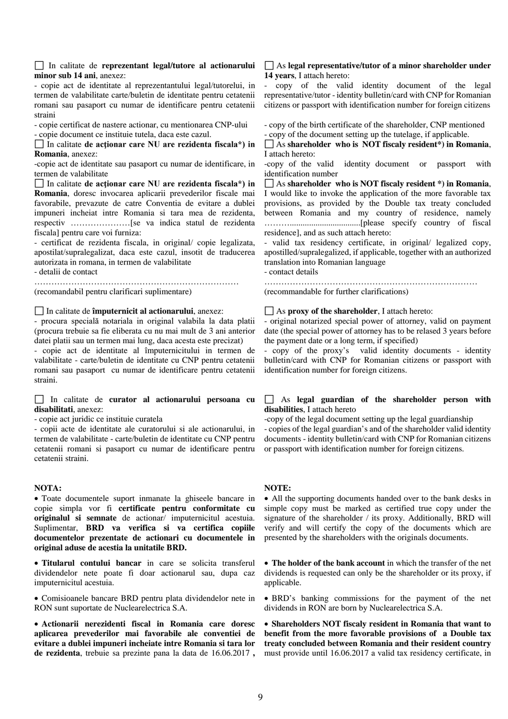#### In calitate de **reprezentant legal/tutore al actionarului minor sub 14 ani**, anexez:

- copie act de identitate al reprezentantului legal/tutorelui, in termen de valabilitate carte/buletin de identitate pentru cetatenii romani sau pasaport cu numar de identificare pentru cetatenii straini

- copie certificat de nastere actionar, cu mentionarea CNP-ului - copie document ce instituie tutela, daca este cazul.

In calitate **de acţionar care NU are rezidenta fiscala\*) in Romania**, anexez:

-copie act de identitate sau pasaport cu numar de identificare, in termen de valabilitate

In calitate **de acţionar care NU are rezidenta fiscala\*) in Romania**, doresc invocarea aplicarii prevederilor fiscale mai favorabile, prevazute de catre Conventia de evitare a dublei impuneri incheiat intre Romania si tara mea de rezidenta, respectiv …………………[se va indica statul de rezidenta fiscala] pentru care voi furniza:

- certificat de rezidenta fiscala, in original/ copie legalizata, apostilat/supralegalizat, daca este cazul, insotit de traducerea autorizata in romana, in termen de valabilitate

- detalii de contact

……………………………………………………………… (recomandabil pentru clarificari suplimentare)

#### In calitate de **împuternicit al actionarului**, anexez:

- procura specială notariala in original valabila la data platii (procura trebuie sa fie eliberata cu nu mai mult de 3 ani anterior datei platii sau un termen mai lung, daca acesta este precizat)

- copie act de identitate al împuternicitului in termen de valabilitate - carte/buletin de identitate cu CNP pentru cetatenii romani sau pasaport cu numar de identificare pentru cetatenii straini.

## In calitate de **curator al actionarului persoana cu disabilitati**, anexez:

- copie act juridic ce instituie curatela

- copii acte de identitate ale curatorului si ale actionarului, in termen de valabilitate - carte/buletin de identitate cu CNP pentru cetatenii romani si pasaport cu numar de identificare pentru cetatenii straini.

#### **NOTA:**

• Toate documentele suport inmanate la ghiseele bancare in copie simpla vor fi **certificate pentru conformitate cu originalul si semnate** de actionar/ imputernicitul acestuia. Suplimentar, **BRD va verifica si va certifica copiile documentelor prezentate de actionari cu documentele in original aduse de acestia la unitatile BRD.**

• **Titularul contului bancar** in care se solicita transferul dividendelor nete poate fi doar actionarul sau, dupa caz imputernicitul acestuia.

• Comisioanele bancare BRD pentru plata dividendelor nete in RON sunt suportate de Nuclearelectrica S.A.

• **Actionarii nerezidenti fiscal in Romania care doresc aplicarea prevederilor mai favorabile ale conventiei de evitare a dublei impuneri incheiate intre Romania si tara lor de rezidenta**, trebuie sa prezinte pana la data de 16.06.2017 **,** 

## As **legal representative/tutor of a minor shareholder under 14 years**, I attach hereto:

- copy of the valid identity document of the legal representative/tutor - identity bulletin/card with CNP for Romanian citizens or passport with identification number for foreign citizens

- copy of the birth certificate of the shareholder, CNP mentioned

- copy of the document setting up the tutelage, if applicable.

As **shareholder who is NOT fiscaly resident\*) in Romania**, I attach hereto:

-copy of the valid identity document or passport with identification number

As **shareholder who is NOT fiscaly resident \*) in Romania**, I would like to invoke the application of the more favorable tax provisions, as provided by the Double tax treaty concluded between Romania and my country of residence, namely ……….................................[please specify country of fiscal residence], and as such attach hereto:

- valid tax residency certificate, in original/ legalized copy, apostilled/supralegalized, if applicable, together with an authorized translation into Romanian language

- contact details

…………………………………………………………………

(recommandable for further clarifications)

## As **proxy of the shareholder**, I attach hereto:

- original notarized special power of attorney, valid on payment date (the special power of attorney has to be relased 3 years before the payment date or a long term, if specified)

- copy of the proxy's valid identity documents - identity bulletin/card with CNP for Romanian citizens or passport with identification number for foreign citizens.

# As **legal guardian of the shareholder person with disabilities**, I attach hereto

-copy of the legal document setting up the legal guardianship - copies of the legal guardian's and of the shareholder valid identity documents - identity bulletin/card with CNP for Romanian citizens or passport with identification number for foreign citizens.

### **NOTE:**

• All the supporting documents handed over to the bank desks in simple copy must be marked as certified true copy under the signature of the shareholder / its proxy. Additionally, BRD will verify and will certify the copy of the documents which are presented by the shareholders with the originals documents.

• **The holder of the bank account** in which the transfer of the net dividends is requested can only be the shareholder or its proxy, if applicable.

• BRD's banking commissions for the payment of the net dividends in RON are born by Nuclearelectrica S.A.

• **Shareholders NOT fiscaly resident in Romania that want to benefit from the more favorable provisions of a Double tax treaty concluded between Romania and their resident country** must provide until 16.06.2017 a valid tax residency certificate, in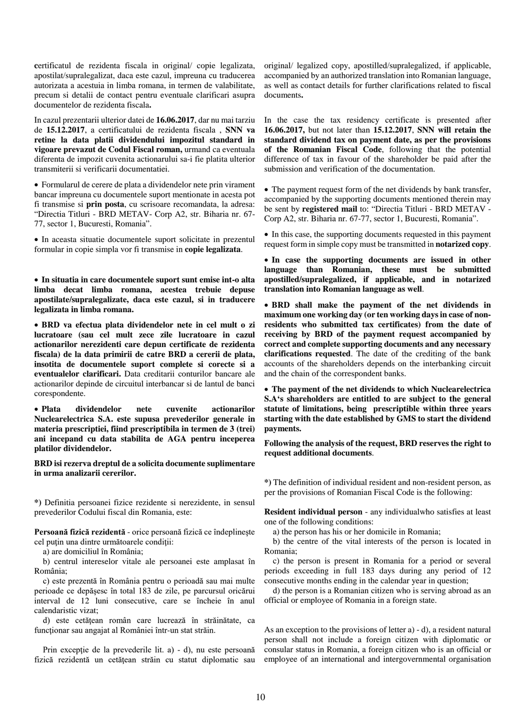**c**ertificatul de rezidenta fiscala in original/ copie legalizata, apostilat/supralegalizat, daca este cazul, impreuna cu traducerea autorizata a acestuia in limba romana, in termen de valabilitate, precum si detalii de contact pentru eventuale clarificari asupra documentelor de rezidenta fiscala**.**

In cazul prezentarii ulterior datei de **16.06.2017**, dar nu mai tarziu de **15.12.2017**, a certificatului de rezidenta fiscala , **SNN va retine la data platii dividendului impozitul standard in vigoare prevazut de Codul Fiscal roman,** urmand ca eventuala diferenta de impozit cuvenita actionarului sa-i fie platita ulterior transmiterii si verificarii documentatiei.

• Formularul de cerere de plata a dividendelor nete prin virament bancar impreuna cu documentele suport mentionate in acesta pot fi transmise si **prin posta**, cu scrisoare recomandata, la adresa: "Directia Titluri - BRD METAV- Corp A2, str. Biharia nr. 67- 77, sector 1, Bucuresti, Romania".

• In aceasta situatie documentele suport solicitate in prezentul formular in copie simpla vor fi transmise in **copie legalizata**.

• **In situatia in care documentele suport sunt emise int-o alta limba decat limba romana, acestea trebuie depuse apostilate/supralegalizate, daca este cazul, si in traducere legalizata in limba romana.**

• **BRD va efectua plata dividendelor nete in cel mult o zi lucratoare (sau cel mult zece zile lucratoare in cazul actionarilor nerezidenti care depun certificate de rezidenta fiscala) de la data primirii de catre BRD a cererii de plata, insotita de documentele suport complete si corecte si a eventualelor clarificari.** Data creditarii conturilor bancare ale actionarilor depinde de circuitul interbancar si de lantul de banci corespondente.

• **Plata dividendelor nete cuvenite actionarilor Nuclearelectrica S.A. este supusa prevederilor generale in materia prescriptiei, fiind prescriptibila in termen de 3 (trei) ani incepand cu data stabilita de AGA pentru inceperea platilor dividendelor.**

**BRD isi rezerva dreptul de a solicita documente suplimentare in urma analizarii cererilor.**

**\*)** Definitia persoanei fizice rezidente si nerezidente, in sensul prevederilor Codului fiscal din Romania, este:

**Persoană fizică rezidentă** - orice persoană fizică ce îndeplineşte cel puțin una dintre următoarele condiții:

a) are domiciliul în România;

 b) centrul intereselor vitale ale persoanei este amplasat în România;

 c) este prezentă în România pentru o perioadă sau mai multe perioade ce depăşesc în total 183 de zile, pe parcursul oricărui interval de 12 luni consecutive, care se încheie în anul calendaristic vizat;

 d) este cetăţean român care lucrează în străinătate, ca funcţionar sau angajat al României într-un stat străin.

Prin excepție de la prevederile lit. a) - d), nu este persoană fizică rezidentă un cetătean străin cu statut diplomatic sau original/ legalized copy, apostilled/supralegalized, if applicable, accompanied by an authorized translation into Romanian language, as well as contact details for further clarifications related to fiscal documents**.**

In the case the tax residency certificate is presented after **16.06.2017,** but not later than **15.12.2017**, **SNN will retain the standard dividend tax on payment date, as per the provisions of the Romanian Fiscal Code**, following that the potential difference of tax in favour of the shareholder be paid after the submission and verification of the documentation.

• The payment request form of the net dividends by bank transfer, accompanied by the supporting documents mentioned therein may be sent by **registered mail** to: "Directia Titluri - BRD METAV - Corp A2, str. Biharia nr. 67-77, sector 1, Bucuresti, Romania".

• In this case, the supporting documents requested in this payment request form in simple copy must be transmitted in **notarized copy**.

• **In case the supporting documents are issued in other language than Romanian, these must be submitted apostilled/supralegalized, if applicable, and in notarized translation into Romanian language as well**.

• **BRD shall make the payment of the net dividends in maximum one working day (or ten working days in case of nonresidents who submitted tax certificates) from the date of receiving by BRD of the payment request accompanied by correct and complete supporting documents and any necessary clarifications requested**. The date of the crediting of the bank accounts of the shareholders depends on the interbanking circuit and the chain of the correspondent banks.

• **The payment of the net dividends to which Nuclearelectrica S.A's shareholders are entitled to are subject to the general statute of limitations, being prescriptible within three years starting with the date established by GMS to start the dividend payments.**

**Following the analysis of the request, BRD reserves the right to request additional documents**.

**\*)** The definition of individual resident and non-resident person, as per the provisions of Romanian Fiscal Code is the following:

**Resident individual person** - any individualwho satisfies at least one of the following conditions:

a) the person has his or her domicile in Romania;

 b) the centre of the vital interests of the person is located in Romania;

 c) the person is present in Romania for a period or several periods exceeding in full 183 days during any period of 12 consecutive months ending in the calendar year in question;

 d) the person is a Romanian citizen who is serving abroad as an official or employee of Romania in a foreign state.

As an exception to the provisions of letter a) - d), a resident natural person shall not include a foreign citizen with diplomatic or consular status in Romania, a foreign citizen who is an official or employee of an international and intergovernmental organisation